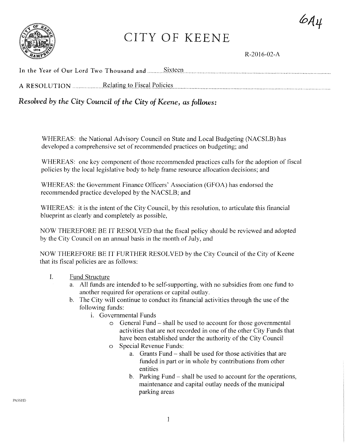$6A4$ 



# CITY OF KEENE

R-2016-02-A

*Resolved by the City Council of the City of Keene, as follows:* 

WHEREAS: the National Advisory Council on State and Local Budgeting (NACSLB) has developed a comprehensive set of recommended practices on budgeting; and

WHEREAS: one key component of those recommended practices calls for the adoption of fiscal policies by the local legislative body to help frame resource allocation decisions; and

WHEREAS: the Government Finance Officers' Association (GFOA) has endorsed the recommended practice developed by the NACSLB; and

WHEREAS: it is the intent of the City Council, by this resolution, to articulate this financial blueprint as clearly and completely as possible,

NOW THEREFORE BE IT RESOLVED that the fiscal policy should be reviewed and adopted by the City Council on an annual basis in the month of July, and

NOW THEREFORE BE IT FURTHER RESOLVED by the City Council of the City of Keene that its fiscal policies are as follows:

- I. Fund Structure
	- a. All funds are intended to be self-supporting, with no subsidies from one fund to another required for operations or capital outlay.
	- b. The City will continue to conduct its financial activities through the use of the following funds:
		- 1. Governmental Funds
			- o General Fund shall be used to account for those governmental activities that are not recorded in one of the other City Funds that have been established under the authority of the City Council
			- o Special Revenue Funds:
				- a. Grants Fund shall be used for those activities that are funded in part or in whole by contributions from other entities
				- b. Parking Fund shall be used to account for the operations, maintenance and capital outlay needs of the municipal parking areas

PASSED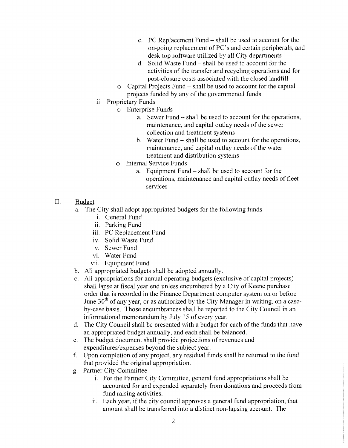- c. PC Replacement Fund shall be used to account for the on-going replacement of PC's and certain peripherals, and desk top software utilized by all City departments
- d. Solid Waste Fund shall be used to account for the activities of the transfer and recycling operations and for post-closure costs associated with the closed landfill
- o Capital Projects Fund- shall be used to account for the capital projects funded by any of the governmental funds
- ii. Proprietary Funds
	- o Enterprise Funds
		- a. Sewer Fund- shall be used to account for the operations, maintenance, and capital outlay needs of the sewer collection and treatment systems
		- b. Water Fund- shall be used to account for the operations, maintenance, and capital outlay needs of the water treatment and distribution systems
	- o Internal Service Funds
		- a. Equipment Fund shall be used to account for the operations, maintenance and capital outlay needs of fleet services
- II. Budget
	- a. The City shall adopt appropriated budgets for the following funds
		- i. General Fund
		- ii. Parking Fund
		- iii. PC Replacement Fund
		- iv. Solid Waste Fund
		- v. Sewer Fund
		- vi. Water Fund
		- vii. Equipment Fund
	- b. All appropriated budgets shall be adopted annually.
	- c. All appropriations for annual operating budgets (exclusive of capital projects) shall lapse at fiscal year end unless encumbered by a City of Keene purchase order that is recorded in the Finance Department computer system on or before June  $30<sup>th</sup>$  of any year, or as authorized by the City Manager in writing, on a caseby-case basis. Those encumbrances shall be reported to the City Council in an informational memorandum by July 15 of every year.
	- d. The City Council shall be presented with a budget for each of the funds that have an appropriated budget annually, and each shall be balanced.
	- e. The budget document shall provide projections of revenues and expenditures/expenses beyond the subject year.
	- f. Upon completion of any project, any residual funds shall be returned to the fund that provided the original appropriation.
	- g. Partner City Committee
		- 1. For the Partner City Committee, general fund appropriations shall be accounted for and expended separately from donations and proceeds from fund raising activities.
		- ii. Each year, if the city council approves a general fund appropriation, that amount shall be transferred into a distinct non-lapsing account. The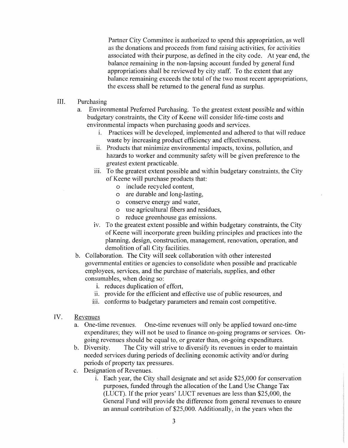Partner City Committee is authorized to spend this appropriation, as well as the donations and proceeds from fund raising activities, for activities associated with their purpose, as defined in the city code. At year end, the balance remaining in the non-lapsing account funded by general fund appropriations shall be reviewed by city staff. To the extent that any balance remaining exceeds the total of the two most recent appropriations, the excess shall be returned to the general fund as surplus.

- III. Purchasing
	- a. Environmental Preferred Purchasing. To the greatest extent possible and within budgetary constraints, the City of Keene will consider life-time costs and environmental impacts when purchasing goods and services.
		- 1. Practices will be developed, implemented and adhered to that will reduce waste by increasing product efficiency and effectiveness.
		- ii. Products that minimize environmental impacts, toxins, pollution, and hazards to worker and community safety will be given preference to the greatest extent practicable.
		- iii. To the greatest extent possible and within budgetary constraints, the City of Keene will purchase products that:
			- o include recycled content,
			- o are durable and long-lasting,
			- o conserve energy and water,
			- o use agricultural fibers and residues,
			- o reduce greenhouse gas emissions.
		- iv. To the greatest extent possible and within budgetary constraints, the City of Keene will incorporate green building principles and practices into the planning, design, construction, management, renovation, operation, and demolition of all City facilities.
	- b. Collaboration. The City will seek collaboration with other interested governmental entities or agencies to consolidate when possible and practicable employees, services, and the purchase of materials, supplies, and other consumables, when doing so:
		- i. reduces duplication of effort,
		- ii. provide for the efficient and effective use of public resources, and
		- iii. conforms to budgetary parameters and remain cost competitive.
- IV. Revenues
	- a. One-time revenues. One-time revenues will only be applied toward one-time expenditures; they will not be used to finance on-going programs or services. Ongoing revenues should be equal to, or greater than, on-going expenditures.
	- b. Diversity. The City will strive to diversify its revenues in order to maintain needed services during periods of declining economic activity and/or during periods of property tax pressures.
	- c. Designation of Revenues.
		- i. Each year, the City shall designate and set aside \$25,000 for conservation purposes, funded through the allocation of the Land Use Change Tax (LUCT). If the prior years' LUCT revenues are less than \$25,000, the General Fund will provide the difference from general revenues to ensure an annual contribution of \$25,000. Additionally, in the years when the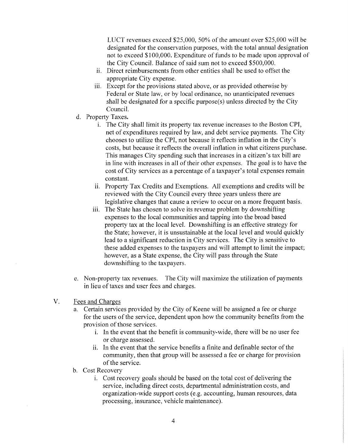LUCT revenues exceed \$25,000, 50% of the amount over \$25,000 will be designated for the conservation purposes, with the total annual designation not to exceed \$100,000. Expenditure of funds to be made upon approval of the City Council. Balance of said sum not to exceed \$500,000.

- i. Direct reimbursements from other entities shall be used to offset the appropriate City expense.
- iii. Except for the provisions stated above, or as provided otherwise by Federal or State law, or by local ordinance, no unanticipated revenues shall be designated for a specific purpose(s) unless directed by the City Council.
- d. Property Taxes.
	- 1. The City shall limit its property tax revenue increases to the Boston CPI, net of expenditures required by law, and debt service payments. The City chooses to utilize the CPI, not because it reflects inflation in the City's costs, but because it reflects the overall inflation in what citizens purchase. This manages City spending such that increases in a citizen's tax bill are in line with increases in all of their other expenses. The goal is to have the cost of City services as a percentage of a taxpayer's total expenses remain constant.
	- ii. Property Tax Credits and Exemptions. All exemptions and credits will be reviewed with the City Council every three years unless there are legislative changes that cause a review to occur on a more frequent basis.
	- iii. The State has chosen to solve its revenue problem by downshifting expenses to the local communities and tapping into the broad based property tax at the local level. Downshifting is an effective strategy for the State; however, it is unsustainable at the local level and would quickly lead to a significant reduction in City services. The City is sensitive to these added expenses to the taxpayers and will attempt to limit the impact; however, as a State expense, the City will pass through the State downshifting to the taxpayers.
- e. Non-property tax revenues. The City will maximize the utilization of payments in lieu of taxes and user fees and charges.
- V. Fees and Charges
	- a. Certain services provided by the City of Keene will be assigned a fee or charge for the users of the service, dependent upon how the community benefits from the provision of those services.
		- 1. In the event that the benefit is community-wide, there will be no user fee or charge assessed.
		- i. In the event that the service benefits a finite and definable sector of the community, then that group will be assessed a fee or charge for provision of the service.
	- b. Cost Recovery
		- 1. Cost recovery goals should be based on the total cost of delivering the service, including direct costs, departmental administration costs, and organization-wide support costs (e.g. accounting, human resources, data processing, insurance, vehicle maintenance).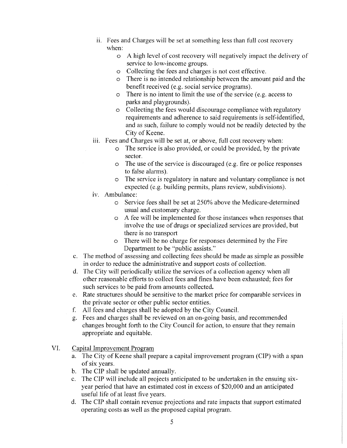- i. Fees and Charges will be set at something less than full cost recovery when:
	- o A high level of cost recovery will negatively impact the delivery of service to low-income groups.
	- o Collecting the fees and charges is not cost effective.
	- o There is no intended relationship between the amount paid and the benefit received (e.g. social service programs).
	- $\circ$  There is no intent to limit the use of the service (e.g. access to parks and playgrounds).
	- o Collecting the fees would discourage compliance with regulatory requirements and adherence to said requirements is self-identified. and as such, failure to comply would not be readily detected by the City of Keene.
- iii. Fees and Charges will be set at, or above, full cost recovery when:
	- o The service is also provided, or could be provided, by the private sector.
	- o The use of the service is discouraged (e.g. fire or police responses to false alarms).
	- o The service is regulatory in nature and voluntary compliance is not expected (e.g. building permits, plans review, subdivisions).
- iv. Ambulance:
	- o Service fees shall be set at 250% above the Medicare-determined usual and customary charge.
	- o A fee will be implemented for those instances when responses that involve the use of drugs or specialized services are provided, but there is no transport
	- o There will be no charge for responses determined by the Fire Department to be "public assists."
- c. The method of assessing and collecting fees should be made as simple as possible in order to reduce the administrative and support costs of collection.
- d. The City will periodically utilize the services of a collection agency when all other reasonable efforts to collect fees and fines have been exhausted; fees for such services to be paid from amounts collected.
- e. Rate structures should be sensitive to the market price for comparable services in the private sector or other public sector entities.
- f. All fees and charges shall be adopted by the City Council.
- g. Fees and charges shall be reviewed on an on-going basis, and recommended changes brought forth to the City Council for action, to ensure that they remain appropriate and equitable.
- VI. Capital Improvement Program
	- a. The City of Keene shall prepare a capital improvement program (CIP) with a span of six years.
	- b. The CIP shall be updated annually.
	- c. The CIP will include all projects anticipated to be undertaken in the ensuing sixyear period that have an estimated cost in excess of \$20,000 and an anticipated useful life of at least five years.
	- d. The CIP shall contain revenue projections and rate impacts that support estimated operating costs as well as the proposed capital program.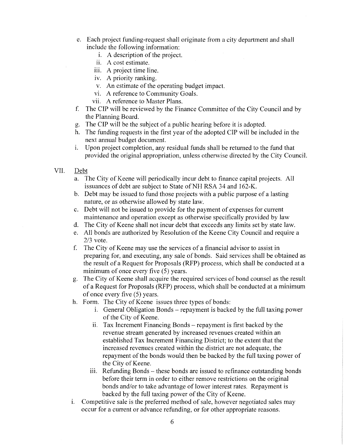- e. Each project funding-request shall originate from a city department and shall include the following information:
	- 1. A description of the project.
	- ii. A cost estimate.
	- iii. A project time line.
	- iv. A priority ranking.
	- v. An estimate of the operating budget impact.
	- vi. A reference to Community Goals.
	- vii. A reference to Master Plans.
- f. The CIP will be reviewed by the Finance Committee of the City Council and by the Planning Board.
- g. The CIP will be the subject of a public hearing before it is adopted.
- h. The funding requests in the first year of the adopted CIP will be included in the next annual budget document.
- 1. Upon project completion, any residual funds shall be returned to the fund that provided the original appropriation, unless otherwise directed by the City Council.
- VII. Debt
	- a. The City of Keene will periodically incur debt to finance capital projects. All issuances of debt are subject to State of NH RSA 34 and 162-K.
	- b. Debt may be issued to fund those projects with a public purpose of a lasting nature, or as otherwise allowed by state law.
	- c. Debt will not be issued to provide for the payment of expenses for current maintenance and operation except as otherwise specifically provided by law
	- d. The City of Keene shall not incur debt that exceeds any limits set by state law.
	- e. All bonds are authorized by Resolution of the Keene City Council and require a 2/3 vote.
	- f. The City of Keene may use the services of a financial advisor to assist in preparing for, and executing, any sale of bonds. Said services shall be obtained as the result of a Request for Proposals (RFP) process, which shall be conducted at a minimum of once every five (5) years.
	- g. The City of Keene shall acquire the required services of bond counsel as the result of a Request for Proposals (RFP) process, which shall be conducted at a minimum of once every five (5) years.
	- h. Form. The City of Keene issues three types of bonds:
		- 1. General Obligation Bonds- repayment is backed by the full taxing power of the City of Keene.
		- ii. Tax Increment Financing Bonds repayment is first backed by the revenue stream generated by increased revenues created within an established Tax Increment Financing District; to the extent that the increased revenues created within the district are not adequate, the repayment of the bonds would then be backed by the full taxing power of the City of Keene.
		- iii. Refunding Bonds these bonds are issued to refinance outstanding bonds before their term in order to either remove restrictions on the original bonds and/or to take advantage of lower interest rates. Repayment is backed by the full taxing power of the City of Keene.
	- 1. Competitive sale is the preferred method of sale, however negotiated sales may occur for a current or advance refunding, or for other appropriate reasons.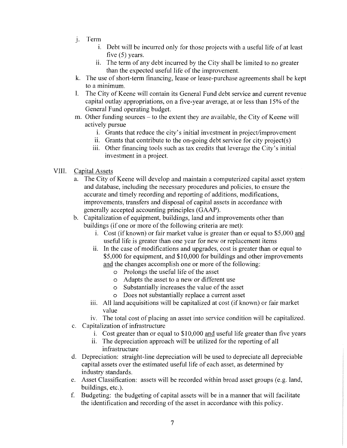- j. Term
	- 1. Debt will be incurred only for those projects with a useful life of at least five (5) years.
	- ii. The term of any debt incurred by the City shall be limited to no greater than the expected useful life of the improvement.
- k. The use of short-term financing, lease or lease-purchase agreements shall be kept to a minimum.
- 1. The City of Keene will contain its General Fund debt service and current revenue capital outlay appropriations, on a five-year average, at or less than 15% of the General Fund operating budget.
- m. Other funding sources to the extent they are available, the City of Keene will actively pursue
	- 1. Grants that reduce the city's initial investment in project/improvement
	- ii. Grants that contribute to the on-going debt service for city project(s)
	- iii. Other financing tools such as tax credits that leverage the City's initial investment in a project.
- VIII. Capital Assets
	- a. The City of Keene will develop and maintain a computerized capital asset system and database, including the necessary procedures and policies, to ensure the accurate and timely recording and reporting of additions, modifications, improvements, transfers and disposal of capital assets in accordance with generally accepted accounting principles (GAAP).
	- b. Capitalization of equipment, buildings, land and improvements other than buildings (if one or more of the following criteria are met):
		- i. Cost (if known) or fair market value is greater than or equal to \$5,000 and useful life is greater than one year for new or replacement items
		- i. In the case of modifications and upgrades, cost is greater than or equal to \$5,000 for equipment, and \$10,000 for buildings and other improvements and the changes accomplish one or more of the following:
			- o Prolongs the useful life of the asset
			- o Adapts the asset to a new or different use
			- o Substantially increases the value of the asset
			- o Does not substantially replace a current asset
		- iii. All land acquisitions will be capitalized at cost (if known) or fair market value
		- iv. The total cost of placing an asset into service condition will be capitalized.
	- c. Capitalization of infrastructure
		- i. Cost greater than or equal to \$10,000 and useful life greater than five years
		- ii. The depreciation approach will be utilized for the reporting of all infrastructure
	- d. Depreciation: straight-line depreciation will be used to depreciate all depreciable capital assets over the estimated useful life of each asset, as determined by industry standards.
	- e. Asset Classification: assets will be recorded within broad asset groups (e.g. land, buildings, etc.).
	- f. Budgeting: the budgeting of capital assets will be in a manner that will facilitate the identification and recording of the asset in accordance with this policy.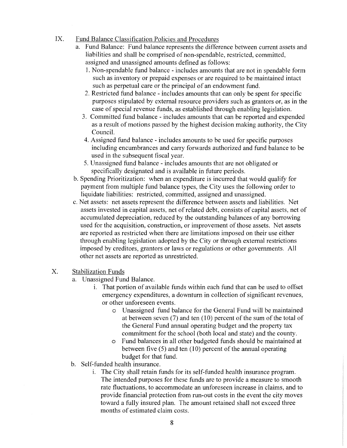## IX. Fund Balance Classification Policies and Procedures

- a. Fund Balance: Fund balance represents the difference between current assets and liabilities and shall be comprised of non-spendable, restricted, committed, assigned and unassigned amounts defined as follows:
	- 1. Non-spendable fund balance- includes amounts that are not in spendable form such as inventory or prepaid expenses or are required to be maintained intact such as perpetual care or the principal of an endowment fund.
	- 2. Restricted fund balance- includes amounts that can only be spent for specific purposes stipulated by external resource providers such as grantors or, as in the case of special revenue funds, as established through enabling legislation.
	- 3. Committed fund balance includes amounts that can be reported and expended as a result of motions passed by the highest decision making authority, the City Council.
	- 4. Assigned fund balance- includes amounts to be used for specific purposes including encumbrances and carry forwards authorized and fund balance to be used in the subsequent fiscal year.
	- 5. Unassigned fund balance- includes amounts that are not obligated or specifically designated and is available in future periods.
- b. Spending Prioritization: when an expenditure is incurred that would qualify for payment from multiple fund balance types, the City uses the following order to liquidate liabilities: restricted, committed, assigned and unassigned.
- c. Net assets: net assets represent the difference between assets and liabilities. Net assets invested in capital assets, net of related debt, consists of capital assets, net of accumulated depreciation, reduced by the outstanding balances of any borrowing used for the acquisition, construction, or improvement of those assets. Net assets are reported as restricted when there are limitations imposed on their use either through enabling legislation adopted by the City or through external restrictions imposed by creditors, grantors or laws or regulations or other governments. All other net assets are reported as umestricted.

#### X. Stabilization Funds

- a. Unassigned Fund Balance.
	- 1. That portion of available funds within each fund that can be used to offset emergency expenditures, a downturn in collection of significant revenues, or other unforeseen events.
		- o Unassigned fund balance for the General Fund will be maintained at between seven  $(7)$  and ten  $(10)$  percent of the sum of the total of the General Fund annual operating budget and the property tax commitment for the school (both local and state) and the county.
		- o Fund balances in all other budgeted funds should be maintained at between five  $(5)$  and ten  $(10)$  percent of the annual operating budget for that fund.
- b. Self-funded health insurance.
	- i. The City shall retain funds for its self-funded health insurance program. The intended purposes for these funds are to provide a measure to smooth rate fluctuations, to accommodate an unforeseen increase in claims, and to provide financial protection from run-out costs in the event the city moves toward a fully insured plan. The amount retained shall not exceed three months of estimated claim costs.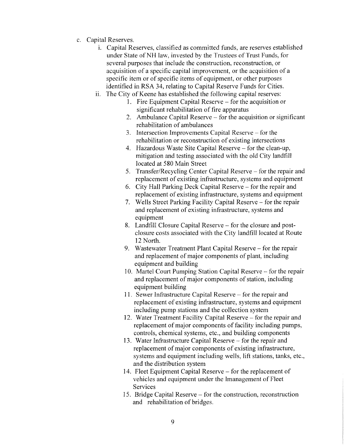- c. Capital Reserves.
	- 1. Capital Reserves, classified as committed funds, are reserves established under State of NH law, invested by the Trustees of Trust Funds, for several purposes that include the construction, reconstruction, or acquisition of a specific capital improvement, or the acquisition of a specific item or of specific items of equipment, or other purposes identified in RSA 34, relating to Capital Reserve Funds for Cities.
	- ii. The City of Keene has established the following capital reserves:
		- 1. Fire Equipment Capital Reserve for the acquisition or significant rehabilitation of fire apparatus
		- 2. Ambulance Capital Reserve for the acquisition or significant rehabilitation of ambulances
		- 3. Intersection Improvements Capital Reserve for the rehabilitation or reconstruction of existing intersections
		- 4. Hazardous Waste Site Capital Reserve- for the clean-up, mitigation and testing associated with the old City landfill located at 580 Main Street
		- 5. Transfer/Recycling Center Capital Reserve- for the repair and replacement of existing infrastructure, systems and equipment
		- 6. City Hall Parking Deck Capital Reserve- for the repair and replacement of existing infrastructure, systems and equipment
		- 7. Wells Street Parking Facility Capital Reserve- for the repair and replacement of existing infrastructure, systems and equipment
		- 8. Landfill Closure Capital Reserve for the closure and postclosure costs associated with the City landfill located at Route 12 North.
		- 9. Wastewater Treatment Plant Capital Reserve- for the repair and replacement of major components of plant, including equipment and building
		- 10. Martel Court Pumping Station Capital Reserve- for the repair and replacement of major components of station, including equipment building
		- 11. Sewer Infrastructure Capital Reserve for the repair and replacement of existing infrastructure, systems and equipment including pump stations and the collection system
		- 12. Water Treatment Facility Capital Reserve- for the repair and replacement of major components of facility including pumps, controls, chemical systems, etc., and building components
		- 13. Water Infrastructure Capital Reserve for the repair and replacement of major components of existing infrastructure, systems and equipment including wells, lift stations, tanks, etc., and the distribution system
		- 14. Fleet Equipment Capital Reserve for the replacement of vehicles and equipment under the Imanagement of Fleet Services
		- 15. Bridge Capital Reserve- for the construction, reconstruction and rehabilitation of bridges.